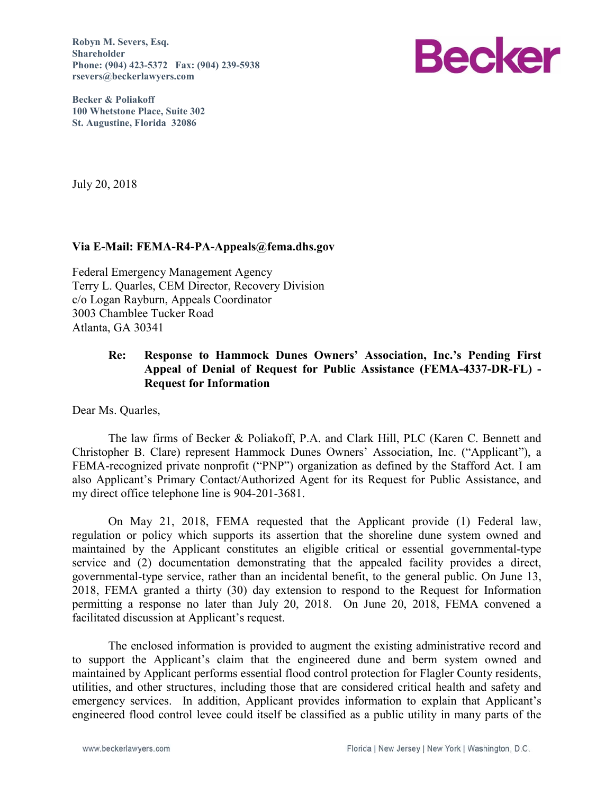**Robyn M. Severs, Esq. Shareholder Phone: (904) 423-5372 Fax: (904) 239-5938 rsevers@beckerlawyers.com** 



**Becker & Poliakoff 100 Whetstone Place, Suite 302 St. Augustine, Florida 32086** 

July 20, 2018

#### **Via E-Mail: FEMA-R4-PA-Appeals@fema.dhs.gov**

Federal Emergency Management Agency Terry L. Quarles, CEM Director, Recovery Division c/o Logan Rayburn, Appeals Coordinator 3003 Chamblee Tucker Road Atlanta, GA 30341

### **Re: Response to Hammock Dunes Owners' Association, Inc.'s Pending First Appeal of Denial of Request for Public Assistance (FEMA-4337-DR-FL) - Request for Information**

Dear Ms. Quarles,

The law firms of Becker & Poliakoff, P.A. and Clark Hill, PLC (Karen C. Bennett and Christopher B. Clare) represent Hammock Dunes Owners' Association, Inc. ("Applicant"), a FEMA-recognized private nonprofit ("PNP") organization as defined by the Stafford Act. I am also Applicant's Primary Contact/Authorized Agent for its Request for Public Assistance, and my direct office telephone line is 904-201-3681.

On May 21, 2018, FEMA requested that the Applicant provide (1) Federal law, regulation or policy which supports its assertion that the shoreline dune system owned and maintained by the Applicant constitutes an eligible critical or essential governmental-type service and (2) documentation demonstrating that the appealed facility provides a direct, governmental-type service, rather than an incidental benefit, to the general public. On June 13, 2018, FEMA granted a thirty (30) day extension to respond to the Request for Information permitting a response no later than July 20, 2018. On June 20, 2018, FEMA convened a facilitated discussion at Applicant's request.

The enclosed information is provided to augment the existing administrative record and to support the Applicant's claim that the engineered dune and berm system owned and maintained by Applicant performs essential flood control protection for Flagler County residents, utilities, and other structures, including those that are considered critical health and safety and emergency services. In addition, Applicant provides information to explain that Applicant's engineered flood control levee could itself be classified as a public utility in many parts of the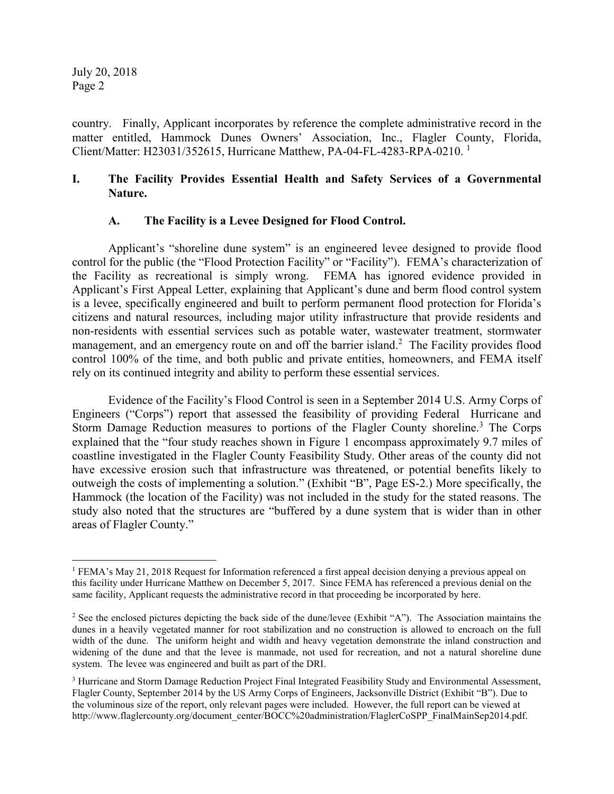1

country. Finally, Applicant incorporates by reference the complete administrative record in the matter entitled, Hammock Dunes Owners' Association, Inc., Flagler County, Florida, Client/Matter: H23031/352615, Hurricane Matthew, PA-04-FL-4283-RPA-0210. <sup>1</sup>

## **I. The Facility Provides Essential Health and Safety Services of a Governmental Nature.**

### **A. The Facility is a Levee Designed for Flood Control.**

Applicant's "shoreline dune system" is an engineered levee designed to provide flood control for the public (the "Flood Protection Facility" or "Facility"). FEMA's characterization of the Facility as recreational is simply wrong. FEMA has ignored evidence provided in Applicant's First Appeal Letter, explaining that Applicant's dune and berm flood control system is a levee, specifically engineered and built to perform permanent flood protection for Florida's citizens and natural resources, including major utility infrastructure that provide residents and non-residents with essential services such as potable water, wastewater treatment, stormwater management, and an emergency route on and off the barrier island.<sup>2</sup> The Facility provides flood control 100% of the time, and both public and private entities, homeowners, and FEMA itself rely on its continued integrity and ability to perform these essential services.

Evidence of the Facility's Flood Control is seen in a September 2014 U.S. Army Corps of Engineers ("Corps") report that assessed the feasibility of providing Federal Hurricane and Storm Damage Reduction measures to portions of the Flagler County shoreline.<sup>3</sup> The Corps explained that the "four study reaches shown in Figure 1 encompass approximately 9.7 miles of coastline investigated in the Flagler County Feasibility Study. Other areas of the county did not have excessive erosion such that infrastructure was threatened, or potential benefits likely to outweigh the costs of implementing a solution." (Exhibit "B", Page ES-2.) More specifically, the Hammock (the location of the Facility) was not included in the study for the stated reasons. The study also noted that the structures are "buffered by a dune system that is wider than in other areas of Flagler County."

<sup>&</sup>lt;sup>1</sup> FEMA's May 21, 2018 Request for Information referenced a first appeal decision denying a previous appeal on this facility under Hurricane Matthew on December 5, 2017. Since FEMA has referenced a previous denial on the same facility, Applicant requests the administrative record in that proceeding be incorporated by here.

<sup>&</sup>lt;sup>2</sup> See the enclosed pictures depicting the back side of the dune/levee (Exhibit "A"). The Association maintains the dunes in a heavily vegetated manner for root stabilization and no construction is allowed to encroach on the full width of the dune. The uniform height and width and heavy vegetation demonstrate the inland construction and widening of the dune and that the levee is manmade, not used for recreation, and not a natural shoreline dune system. The levee was engineered and built as part of the DRI.

<sup>&</sup>lt;sup>3</sup> Hurricane and Storm Damage Reduction Project Final Integrated Feasibility Study and Environmental Assessment, Flagler County, September 2014 by the US Army Corps of Engineers, Jacksonville District (Exhibit "B"). Due to the voluminous size of the report, only relevant pages were included. However, the full report can be viewed at http://www.flaglercounty.org/document\_center/BOCC%20administration/FlaglerCoSPP\_FinalMainSep2014.pdf.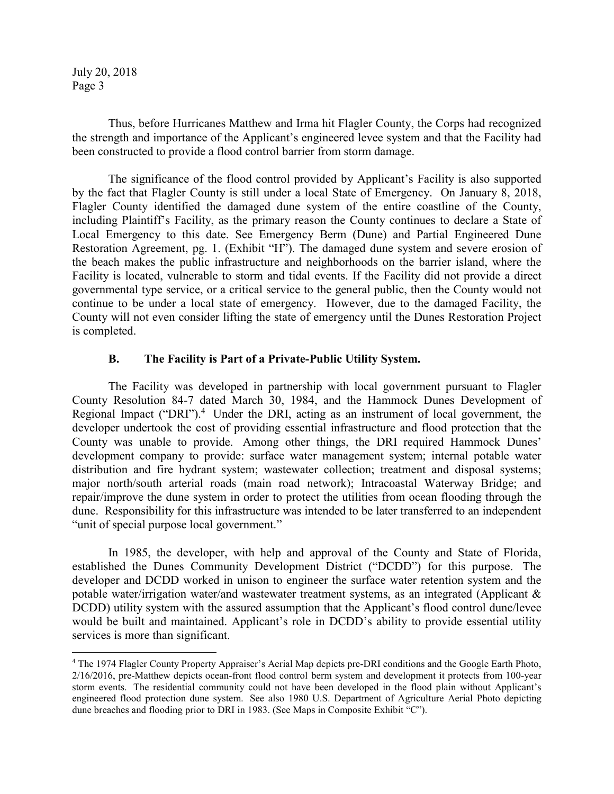-

 Thus, before Hurricanes Matthew and Irma hit Flagler County, the Corps had recognized the strength and importance of the Applicant's engineered levee system and that the Facility had been constructed to provide a flood control barrier from storm damage.

The significance of the flood control provided by Applicant's Facility is also supported by the fact that Flagler County is still under a local State of Emergency. On January 8, 2018, Flagler County identified the damaged dune system of the entire coastline of the County, including Plaintiff's Facility, as the primary reason the County continues to declare a State of Local Emergency to this date. See Emergency Berm (Dune) and Partial Engineered Dune Restoration Agreement, pg. 1. (Exhibit "H"). The damaged dune system and severe erosion of the beach makes the public infrastructure and neighborhoods on the barrier island, where the Facility is located, vulnerable to storm and tidal events. If the Facility did not provide a direct governmental type service, or a critical service to the general public, then the County would not continue to be under a local state of emergency. However, due to the damaged Facility, the County will not even consider lifting the state of emergency until the Dunes Restoration Project is completed.

### **B. The Facility is Part of a Private-Public Utility System.**

The Facility was developed in partnership with local government pursuant to Flagler County Resolution 84-7 dated March 30, 1984, and the Hammock Dunes Development of Regional Impact ("DRI").<sup>4</sup> Under the DRI, acting as an instrument of local government, the developer undertook the cost of providing essential infrastructure and flood protection that the County was unable to provide. Among other things, the DRI required Hammock Dunes' development company to provide: surface water management system; internal potable water distribution and fire hydrant system; wastewater collection; treatment and disposal systems; major north/south arterial roads (main road network); Intracoastal Waterway Bridge; and repair/improve the dune system in order to protect the utilities from ocean flooding through the dune. Responsibility for this infrastructure was intended to be later transferred to an independent "unit of special purpose local government."

In 1985, the developer, with help and approval of the County and State of Florida, established the Dunes Community Development District ("DCDD") for this purpose. The developer and DCDD worked in unison to engineer the surface water retention system and the potable water/irrigation water/and wastewater treatment systems, as an integrated (Applicant & DCDD) utility system with the assured assumption that the Applicant's flood control dune/levee would be built and maintained. Applicant's role in DCDD's ability to provide essential utility services is more than significant.

<sup>&</sup>lt;sup>4</sup> The 1974 Flagler County Property Appraiser's Aerial Map depicts pre-DRI conditions and the Google Earth Photo, 2/16/2016, pre-Matthew depicts ocean-front flood control berm system and development it protects from 100-year storm events. The residential community could not have been developed in the flood plain without Applicant's engineered flood protection dune system. See also 1980 U.S. Department of Agriculture Aerial Photo depicting dune breaches and flooding prior to DRI in 1983. (See Maps in Composite Exhibit "C").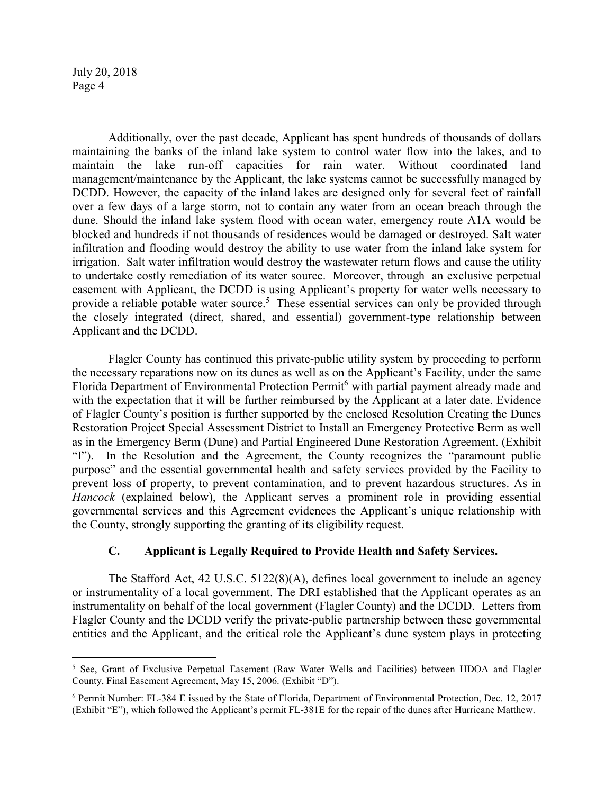$\overline{a}$ 

Additionally, over the past decade, Applicant has spent hundreds of thousands of dollars maintaining the banks of the inland lake system to control water flow into the lakes, and to maintain the lake run-off capacities for rain water. Without coordinated land management/maintenance by the Applicant, the lake systems cannot be successfully managed by DCDD. However, the capacity of the inland lakes are designed only for several feet of rainfall over a few days of a large storm, not to contain any water from an ocean breach through the dune. Should the inland lake system flood with ocean water, emergency route A1A would be blocked and hundreds if not thousands of residences would be damaged or destroyed. Salt water infiltration and flooding would destroy the ability to use water from the inland lake system for irrigation. Salt water infiltration would destroy the wastewater return flows and cause the utility to undertake costly remediation of its water source. Moreover, through an exclusive perpetual easement with Applicant, the DCDD is using Applicant's property for water wells necessary to provide a reliable potable water source.<sup>5</sup> These essential services can only be provided through the closely integrated (direct, shared, and essential) government-type relationship between Applicant and the DCDD.

Flagler County has continued this private-public utility system by proceeding to perform the necessary reparations now on its dunes as well as on the Applicant's Facility, under the same Florida Department of Environmental Protection Permit<sup>6</sup> with partial payment already made and with the expectation that it will be further reimbursed by the Applicant at a later date. Evidence of Flagler County's position is further supported by the enclosed Resolution Creating the Dunes Restoration Project Special Assessment District to Install an Emergency Protective Berm as well as in the Emergency Berm (Dune) and Partial Engineered Dune Restoration Agreement. (Exhibit "I"). In the Resolution and the Agreement, the County recognizes the "paramount public purpose" and the essential governmental health and safety services provided by the Facility to prevent loss of property, to prevent contamination, and to prevent hazardous structures. As in *Hancock* (explained below), the Applicant serves a prominent role in providing essential governmental services and this Agreement evidences the Applicant's unique relationship with the County, strongly supporting the granting of its eligibility request.

# **C. Applicant is Legally Required to Provide Health and Safety Services.**

The Stafford Act, 42 U.S.C. 5122(8)(A), defines local government to include an agency or instrumentality of a local government. The DRI established that the Applicant operates as an instrumentality on behalf of the local government (Flagler County) and the DCDD. Letters from Flagler County and the DCDD verify the private-public partnership between these governmental entities and the Applicant, and the critical role the Applicant's dune system plays in protecting

<sup>&</sup>lt;sup>5</sup> See, Grant of Exclusive Perpetual Easement (Raw Water Wells and Facilities) between HDOA and Flagler County, Final Easement Agreement, May 15, 2006. (Exhibit "D").

<sup>6</sup> Permit Number: FL-384 E issued by the State of Florida, Department of Environmental Protection, Dec. 12, 2017 (Exhibit "E"), which followed the Applicant's permit FL-381E for the repair of the dunes after Hurricane Matthew.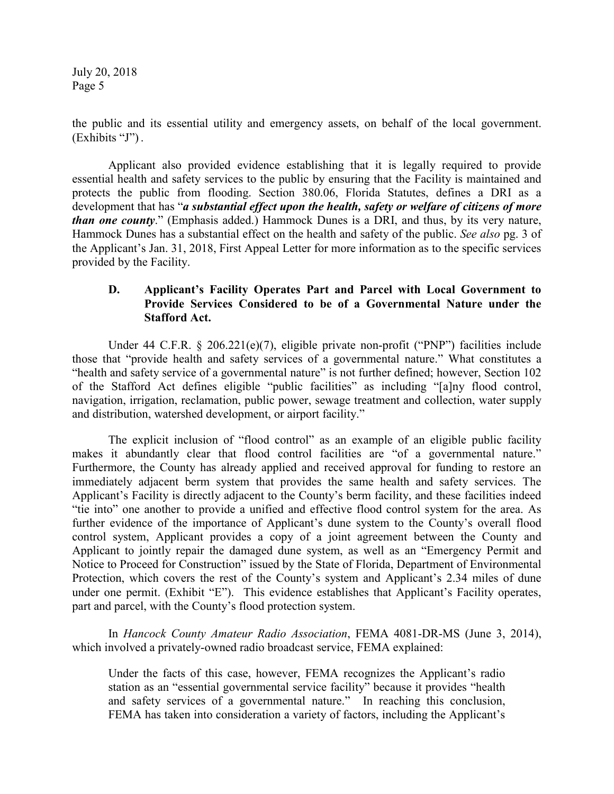the public and its essential utility and emergency assets, on behalf of the local government. (Exhibits "J") .

Applicant also provided evidence establishing that it is legally required to provide essential health and safety services to the public by ensuring that the Facility is maintained and protects the public from flooding. Section 380.06, Florida Statutes, defines a DRI as a development that has "*a substantial effect upon the health, safety or welfare of citizens of more than one county*." (Emphasis added.) Hammock Dunes is a DRI, and thus, by its very nature, Hammock Dunes has a substantial effect on the health and safety of the public. *See also* pg. 3 of the Applicant's Jan. 31, 2018, First Appeal Letter for more information as to the specific services provided by the Facility.

### **D. Applicant's Facility Operates Part and Parcel with Local Government to Provide Services Considered to be of a Governmental Nature under the Stafford Act.**

Under 44 C.F.R. § 206.221(e)(7), eligible private non-profit ("PNP") facilities include those that "provide health and safety services of a governmental nature." What constitutes a "health and safety service of a governmental nature" is not further defined; however, Section 102 of the Stafford Act defines eligible "public facilities" as including "[a]ny flood control, navigation, irrigation, reclamation, public power, sewage treatment and collection, water supply and distribution, watershed development, or airport facility."

The explicit inclusion of "flood control" as an example of an eligible public facility makes it abundantly clear that flood control facilities are "of a governmental nature." Furthermore, the County has already applied and received approval for funding to restore an immediately adjacent berm system that provides the same health and safety services. The Applicant's Facility is directly adjacent to the County's berm facility, and these facilities indeed "tie into" one another to provide a unified and effective flood control system for the area. As further evidence of the importance of Applicant's dune system to the County's overall flood control system, Applicant provides a copy of a joint agreement between the County and Applicant to jointly repair the damaged dune system, as well as an "Emergency Permit and Notice to Proceed for Construction" issued by the State of Florida, Department of Environmental Protection, which covers the rest of the County's system and Applicant's 2.34 miles of dune under one permit. (Exhibit "E"). This evidence establishes that Applicant's Facility operates, part and parcel, with the County's flood protection system.

In *Hancock County Amateur Radio Association*, FEMA 4081-DR-MS (June 3, 2014), which involved a privately-owned radio broadcast service, FEMA explained:

Under the facts of this case, however, FEMA recognizes the Applicant's radio station as an "essential governmental service facility" because it provides "health and safety services of a governmental nature." In reaching this conclusion, FEMA has taken into consideration a variety of factors, including the Applicant's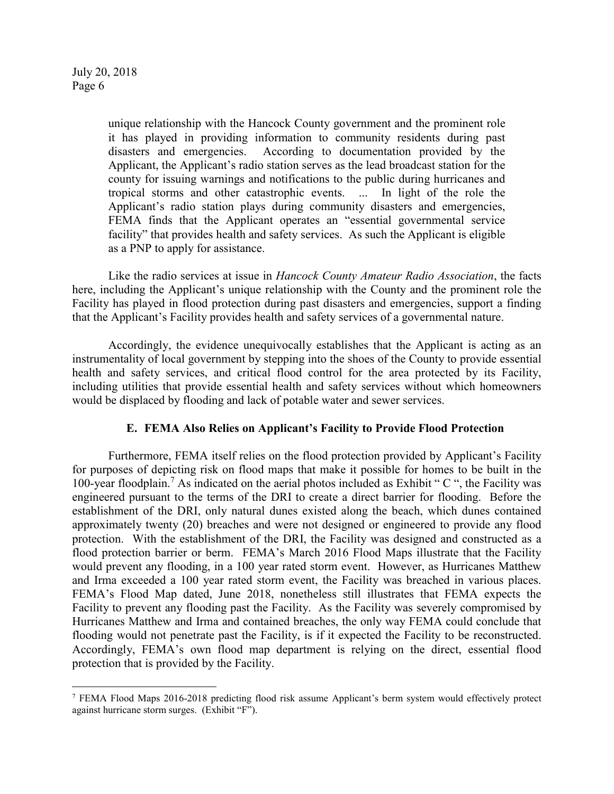unique relationship with the Hancock County government and the prominent role it has played in providing information to community residents during past disasters and emergencies. According to documentation provided by the Applicant, the Applicant's radio station serves as the lead broadcast station for the county for issuing warnings and notifications to the public during hurricanes and tropical storms and other catastrophic events. ... In light of the role the Applicant's radio station plays during community disasters and emergencies, FEMA finds that the Applicant operates an "essential governmental service facility" that provides health and safety services. As such the Applicant is eligible as a PNP to apply for assistance.

Like the radio services at issue in *Hancock County Amateur Radio Association*, the facts here, including the Applicant's unique relationship with the County and the prominent role the Facility has played in flood protection during past disasters and emergencies, support a finding that the Applicant's Facility provides health and safety services of a governmental nature.

Accordingly, the evidence unequivocally establishes that the Applicant is acting as an instrumentality of local government by stepping into the shoes of the County to provide essential health and safety services, and critical flood control for the area protected by its Facility, including utilities that provide essential health and safety services without which homeowners would be displaced by flooding and lack of potable water and sewer services.

### **E. FEMA Also Relies on Applicant's Facility to Provide Flood Protection**

Furthermore, FEMA itself relies on the flood protection provided by Applicant's Facility for purposes of depicting risk on flood maps that make it possible for homes to be built in the 100-year floodplain.<sup>7</sup> As indicated on the aerial photos included as Exhibit "C", the Facility was engineered pursuant to the terms of the DRI to create a direct barrier for flooding. Before the establishment of the DRI, only natural dunes existed along the beach, which dunes contained approximately twenty (20) breaches and were not designed or engineered to provide any flood protection. With the establishment of the DRI, the Facility was designed and constructed as a flood protection barrier or berm. FEMA's March 2016 Flood Maps illustrate that the Facility would prevent any flooding, in a 100 year rated storm event. However, as Hurricanes Matthew and Irma exceeded a 100 year rated storm event, the Facility was breached in various places. FEMA's Flood Map dated, June 2018, nonetheless still illustrates that FEMA expects the Facility to prevent any flooding past the Facility. As the Facility was severely compromised by Hurricanes Matthew and Irma and contained breaches, the only way FEMA could conclude that flooding would not penetrate past the Facility, is if it expected the Facility to be reconstructed. Accordingly, FEMA's own flood map department is relying on the direct, essential flood protection that is provided by the Facility.

<sup>1</sup> <sup>7</sup> FEMA Flood Maps 2016-2018 predicting flood risk assume Applicant's berm system would effectively protect against hurricane storm surges. (Exhibit "F").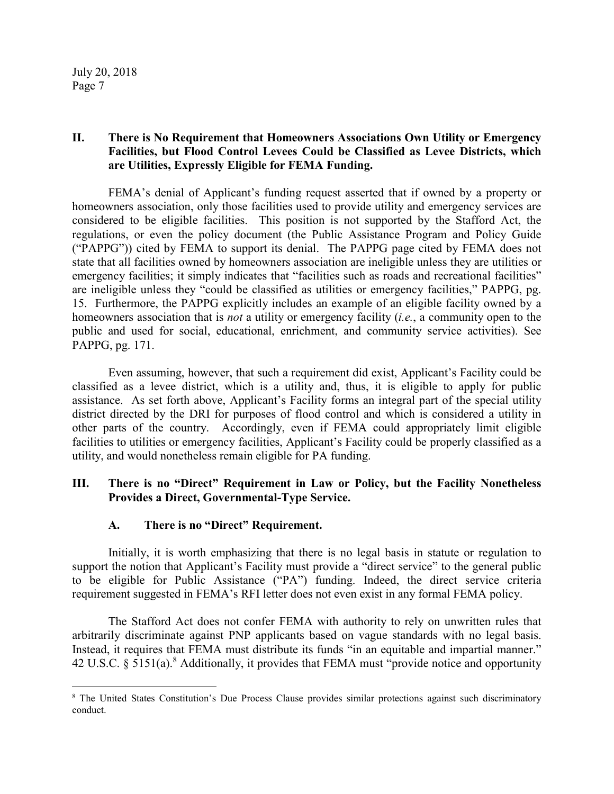## **II. There is No Requirement that Homeowners Associations Own Utility or Emergency Facilities, but Flood Control Levees Could be Classified as Levee Districts, which are Utilities, Expressly Eligible for FEMA Funding.**

FEMA's denial of Applicant's funding request asserted that if owned by a property or homeowners association, only those facilities used to provide utility and emergency services are considered to be eligible facilities. This position is not supported by the Stafford Act, the regulations, or even the policy document (the Public Assistance Program and Policy Guide ("PAPPG")) cited by FEMA to support its denial. The PAPPG page cited by FEMA does not state that all facilities owned by homeowners association are ineligible unless they are utilities or emergency facilities; it simply indicates that "facilities such as roads and recreational facilities" are ineligible unless they "could be classified as utilities or emergency facilities," PAPPG, pg. 15. Furthermore, the PAPPG explicitly includes an example of an eligible facility owned by a homeowners association that is *not* a utility or emergency facility (*i.e.*, a community open to the public and used for social, educational, enrichment, and community service activities). See PAPPG, pg. 171.

Even assuming, however, that such a requirement did exist, Applicant's Facility could be classified as a levee district, which is a utility and, thus, it is eligible to apply for public assistance. As set forth above, Applicant's Facility forms an integral part of the special utility district directed by the DRI for purposes of flood control and which is considered a utility in other parts of the country. Accordingly, even if FEMA could appropriately limit eligible facilities to utilities or emergency facilities, Applicant's Facility could be properly classified as a utility, and would nonetheless remain eligible for PA funding.

### **III. There is no "Direct" Requirement in Law or Policy, but the Facility Nonetheless Provides a Direct, Governmental-Type Service.**

# **A. There is no "Direct" Requirement.**

Initially, it is worth emphasizing that there is no legal basis in statute or regulation to support the notion that Applicant's Facility must provide a "direct service" to the general public to be eligible for Public Assistance ("PA") funding. Indeed, the direct service criteria requirement suggested in FEMA's RFI letter does not even exist in any formal FEMA policy.

The Stafford Act does not confer FEMA with authority to rely on unwritten rules that arbitrarily discriminate against PNP applicants based on vague standards with no legal basis. Instead, it requires that FEMA must distribute its funds "in an equitable and impartial manner." 42 U.S.C.  $\S$  5151(a).<sup>8</sup> Additionally, it provides that FEMA must "provide notice and opportunity

<sup>1</sup> <sup>8</sup> The United States Constitution's Due Process Clause provides similar protections against such discriminatory conduct.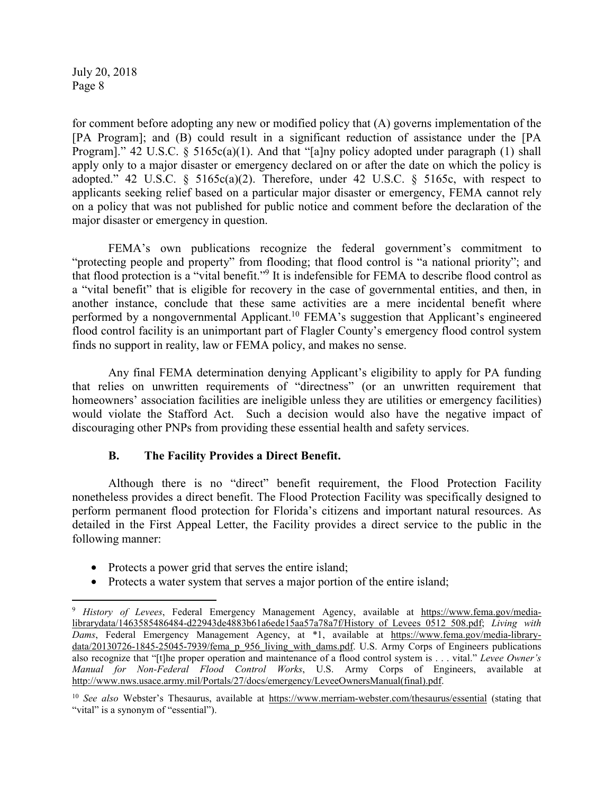$\overline{a}$ 

for comment before adopting any new or modified policy that (A) governs implementation of the [PA Program]; and (B) could result in a significant reduction of assistance under the [PA Program]." 42 U.S.C. § 5165c(a)(1). And that "[a]ny policy adopted under paragraph (1) shall apply only to a major disaster or emergency declared on or after the date on which the policy is adopted." 42 U.S.C. §  $5165c(a)(2)$ . Therefore, under 42 U.S.C. § 5165c, with respect to applicants seeking relief based on a particular major disaster or emergency, FEMA cannot rely on a policy that was not published for public notice and comment before the declaration of the major disaster or emergency in question.

FEMA's own publications recognize the federal government's commitment to "protecting people and property" from flooding; that flood control is "a national priority"; and that flood protection is a "vital benefit."<sup>9</sup> It is indefensible for FEMA to describe flood control as a "vital benefit" that is eligible for recovery in the case of governmental entities, and then, in another instance, conclude that these same activities are a mere incidental benefit where performed by a nongovernmental Applicant.<sup>10</sup> FEMA's suggestion that Applicant's engineered flood control facility is an unimportant part of Flagler County's emergency flood control system finds no support in reality, law or FEMA policy, and makes no sense.

Any final FEMA determination denying Applicant's eligibility to apply for PA funding that relies on unwritten requirements of "directness" (or an unwritten requirement that homeowners' association facilities are ineligible unless they are utilities or emergency facilities) would violate the Stafford Act. Such a decision would also have the negative impact of discouraging other PNPs from providing these essential health and safety services.

# **B. The Facility Provides a Direct Benefit.**

Although there is no "direct" benefit requirement, the Flood Protection Facility nonetheless provides a direct benefit. The Flood Protection Facility was specifically designed to perform permanent flood protection for Florida's citizens and important natural resources. As detailed in the First Appeal Letter, the Facility provides a direct service to the public in the following manner:

- Protects a power grid that serves the entire island;
- Protects a water system that serves a major portion of the entire island;

<sup>9</sup> *History of Levees*, Federal Emergency Management Agency, available at https://www.fema.gov/medialibrarydata/1463585486484-d22943de4883b61a6ede15aa57a78a7f/History\_of\_Levees\_0512\_508.pdf; *Living with Dams*, Federal Emergency Management Agency, at \*1, available at https://www.fema.gov/media-librarydata/20130726-1845-25045-7939/fema\_p\_956\_living\_with\_dams.pdf. U.S. Army Corps of Engineers publications also recognize that "[t]he proper operation and maintenance of a flood control system is . . . vital." *Levee Owner's Manual for Non-Federal Flood Control Works*, U.S. Army Corps of Engineers, available at http://www.nws.usace.army.mil/Portals/27/docs/emergency/LeveeOwnersManual(final).pdf.

<sup>10</sup> *See also* Webster's Thesaurus, available at https://www.merriam-webster.com/thesaurus/essential (stating that "vital" is a synonym of "essential").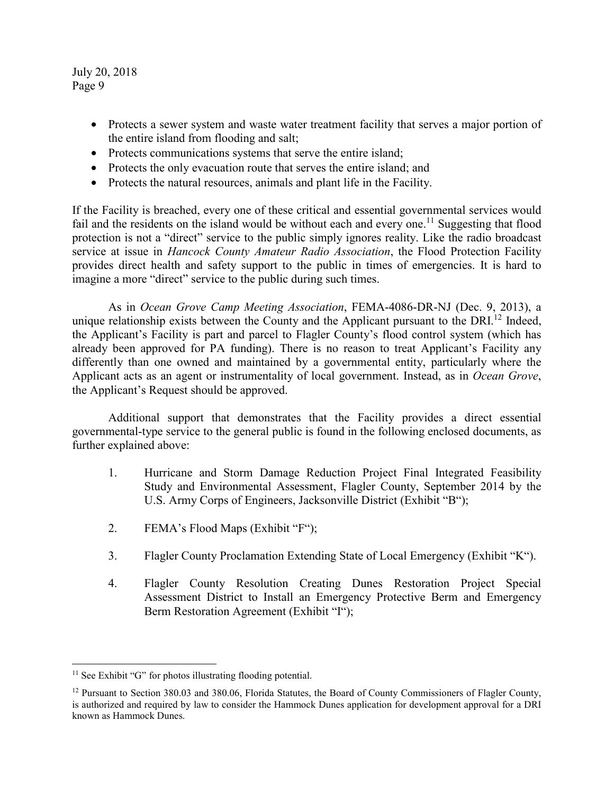- Protects a sewer system and waste water treatment facility that serves a major portion of the entire island from flooding and salt;
- Protects communications systems that serve the entire island;
- Protects the only evacuation route that serves the entire island; and
- Protects the natural resources, animals and plant life in the Facility.

If the Facility is breached, every one of these critical and essential governmental services would fail and the residents on the island would be without each and every one.<sup>11</sup> Suggesting that flood protection is not a "direct" service to the public simply ignores reality. Like the radio broadcast service at issue in *Hancock County Amateur Radio Association*, the Flood Protection Facility provides direct health and safety support to the public in times of emergencies. It is hard to imagine a more "direct" service to the public during such times.

As in *Ocean Grove Camp Meeting Association*, FEMA-4086-DR-NJ (Dec. 9, 2013), a unique relationship exists between the County and the Applicant pursuant to the DRI $^{12}$  Indeed, the Applicant's Facility is part and parcel to Flagler County's flood control system (which has already been approved for PA funding). There is no reason to treat Applicant's Facility any differently than one owned and maintained by a governmental entity, particularly where the Applicant acts as an agent or instrumentality of local government. Instead, as in *Ocean Grove*, the Applicant's Request should be approved.

 Additional support that demonstrates that the Facility provides a direct essential governmental-type service to the general public is found in the following enclosed documents, as further explained above:

- 1. Hurricane and Storm Damage Reduction Project Final Integrated Feasibility Study and Environmental Assessment, Flagler County, September 2014 by the U.S. Army Corps of Engineers, Jacksonville District (Exhibit "B");
- 2. FEMA's Flood Maps (Exhibit "F");
- 3. Flagler County Proclamation Extending State of Local Emergency (Exhibit "K").
- 4. Flagler County Resolution Creating Dunes Restoration Project Special Assessment District to Install an Emergency Protective Berm and Emergency Berm Restoration Agreement (Exhibit "I");

1

<sup>&</sup>lt;sup>11</sup> See Exhibit "G" for photos illustrating flooding potential.

<sup>&</sup>lt;sup>12</sup> Pursuant to Section 380.03 and 380.06, Florida Statutes, the Board of County Commissioners of Flagler County, is authorized and required by law to consider the Hammock Dunes application for development approval for a DRI known as Hammock Dunes.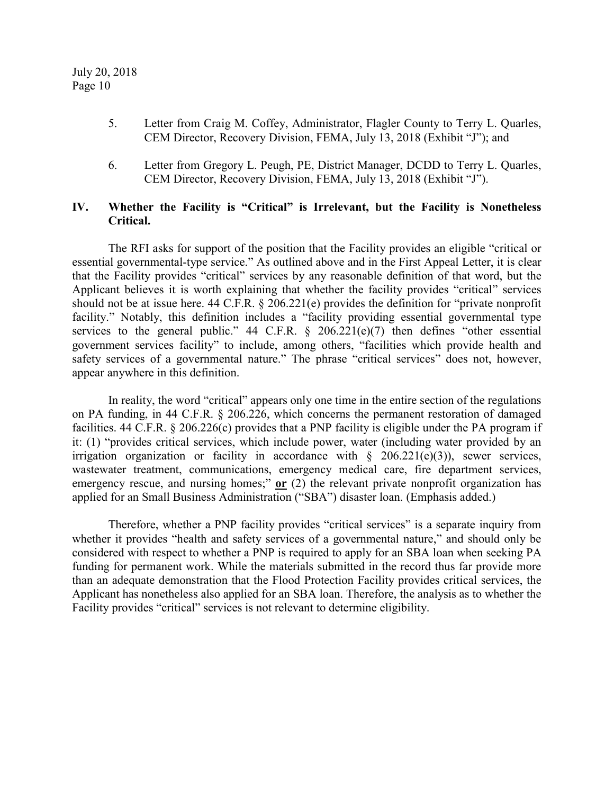- 5. Letter from Craig M. Coffey, Administrator, Flagler County to Terry L. Quarles, CEM Director, Recovery Division, FEMA, July 13, 2018 (Exhibit "J"); and
- 6. Letter from Gregory L. Peugh, PE, District Manager, DCDD to Terry L. Quarles, CEM Director, Recovery Division, FEMA, July 13, 2018 (Exhibit "J").

# **IV. Whether the Facility is "Critical" is Irrelevant, but the Facility is Nonetheless Critical.**

The RFI asks for support of the position that the Facility provides an eligible "critical or essential governmental-type service." As outlined above and in the First Appeal Letter, it is clear that the Facility provides "critical" services by any reasonable definition of that word, but the Applicant believes it is worth explaining that whether the facility provides "critical" services should not be at issue here. 44 C.F.R. § 206.221(e) provides the definition for "private nonprofit facility." Notably, this definition includes a "facility providing essential governmental type services to the general public." 44 C.F.R.  $\S$  206.221(e)(7) then defines "other essential government services facility" to include, among others, "facilities which provide health and safety services of a governmental nature." The phrase "critical services" does not, however, appear anywhere in this definition.

In reality, the word "critical" appears only one time in the entire section of the regulations on PA funding, in 44 C.F.R. § 206.226, which concerns the permanent restoration of damaged facilities. 44 C.F.R. § 206.226(c) provides that a PNP facility is eligible under the PA program if it: (1) "provides critical services, which include power, water (including water provided by an irrigation organization or facility in accordance with  $\S$  206.221(e)(3)), sewer services, wastewater treatment, communications, emergency medical care, fire department services, emergency rescue, and nursing homes;" **or** (2) the relevant private nonprofit organization has applied for an Small Business Administration ("SBA") disaster loan. (Emphasis added.)

Therefore, whether a PNP facility provides "critical services" is a separate inquiry from whether it provides "health and safety services of a governmental nature," and should only be considered with respect to whether a PNP is required to apply for an SBA loan when seeking PA funding for permanent work. While the materials submitted in the record thus far provide more than an adequate demonstration that the Flood Protection Facility provides critical services, the Applicant has nonetheless also applied for an SBA loan. Therefore, the analysis as to whether the Facility provides "critical" services is not relevant to determine eligibility.